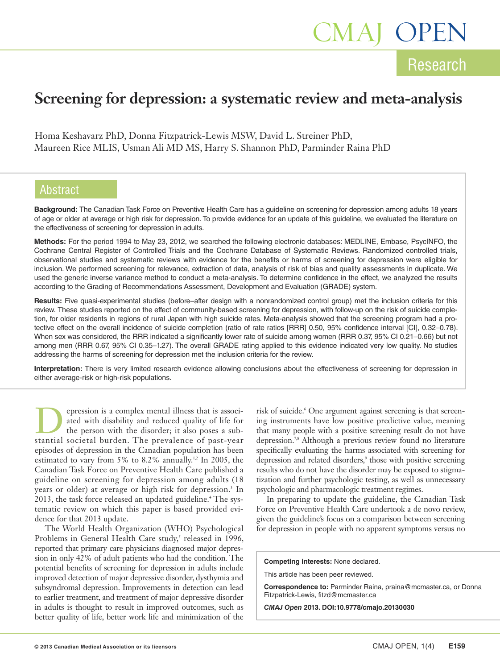# **Research** CMAJ OPEN

## **Screening for depression: a systematic review and meta-analysis**

Homa Keshavarz PhD, Donna Fitzpatrick-Lewis MSW, David L. Streiner PhD, Maureen Rice MLIS, Usman Ali MD MS, Harry S. Shannon PhD, Parminder Raina PhD

### Abstract

**Background:** The Canadian Task Force on Preventive Health Care has a guideline on screening for depression among adults 18 years of age or older at average or high risk for depression. To provide evidence for an update of this guideline, we evaluated the literature on the effectiveness of screening for depression in adults.

**Methods:** For the period 1994 to May 23, 2012, we searched the following electronic databases: MEDLINE, Embase, PsycINFO, the Cochrane Central Register of Controlled Trials and the Cochrane Database of Systematic Reviews. Randomized controlled trials, observational studies and systematic reviews with evidence for the benefits or harms of screening for depression were eligible for inclusion. We performed screening for relevance, extraction of data, analysis of risk of bias and quality assessments in duplicate. We used the generic inverse variance method to conduct a meta-analysis. To determine confidence in the effect, we analyzed the results according to the Grading of Recommendations Assessment, Development and Evaluation (GRADE) system.

**Results:** Five quasi-experimental studies (before–after design with a nonrandomized control group) met the inclusion criteria for this review. These studies reported on the effect of community-based screening for depression, with follow-up on the risk of suicide completion, for older residents in regions of rural Japan with high suicide rates. Meta-analysis showed that the screening program had a protective effect on the overall incidence of suicide completion (ratio of rate ratios [RRR] 0.50, 95% confidence interval [CI], 0.32–0.78). When sex was considered, the RRR indicated a significantly lower rate of suicide among women (RRR 0.37, 95% CI 0.21–0.66) but not among men (RRR 0.67, 95% CI 0.35–1.27). The overall GRADE rating applied to this evidence indicated very low quality. No studies addressing the harms of screening for depression met the inclusion criteria for the review.

**Interpretation:** There is very limited research evidence allowing conclusions about the effectiveness of screening for depression in either average-risk or high-risk populations.

epression is a complex mental illness that is associated with disability and reduced quality of life for the person with the disorder; it also poses a substantial societal burden. The prevalence of past-year episodes of depression in the Canadian population has been estimated to vary from 5% to 8.2% annually.<sup>1,2</sup> In 2005, the Canadian Task Force on Preventive Health Care published a guideline on screening for depression among adults (18 years or older) at average or high risk for depression. <sup>3</sup> In 2013, the task force released an updated guideline. <sup>4</sup> The systematic review on which this paper is based provided evidence for that 2013 update.

The World Health Organization (WHO) Psychological Problems in General Health Care study, <sup>5</sup> released in 1996, reported that primary care physicians diagnosed major depression in only 42% of adult patients who had the condition. The potential benefits of screening for depression in adults include improved detection of major depressive disorder, dysthymia and subsyndromal depression. Improvements in detection can lead to earlier treatment, and treatment of major depressive disorder in adults is thought to result in improved outcomes, such as better quality of life, better work life and minimization of the

risk of suicide. <sup>6</sup> One argument against screening is that screening instruments have low positive predictive value, meaning that many people with a positive screening result do not have depression.<sup>7,8</sup> Although a previous review found no literature specifically evaluating the harms associated with screening for depression and related disorders, <sup>9</sup> those with positive screening results who do not have the disorder may be exposed to stigmatization and further psychologic testing, as well as unnecessary psychologic and pharmacologic treatment regimes.

In preparing to update the guideline, the Canadian Task Force on Preventive Health Care undertook a de novo review, given the guideline's focus on a comparison between screening for depression in people with no apparent symptoms versus no

**Competing interests:** None declared.

This article has been peer reviewed.

**Correspondence to:** Parminder Raina, praina@mcmaster.ca, or Donna Fitzpatrick-Lewis, fitzd@mcmaster.ca

*CMAJ Open* **2013. DOI:10.9778/cmajo.20130030**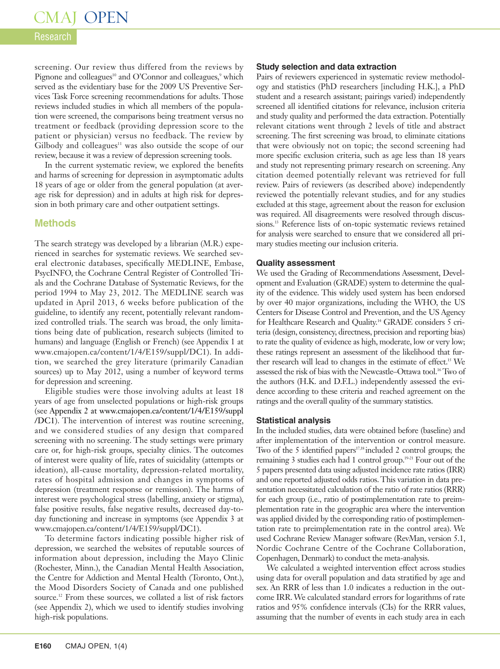### Research

screening. Our review thus differed from the reviews by Pignone and colleagues<sup>10</sup> and O'Connor and colleagues,<sup>9</sup> which served as the evidentiary base for the 2009 US Preventive Services Task Force screening recommendations for adults. Those reviews included studies in which all members of the population were screened, the comparisons being treatment versus no treatment or feedback (providing depression score to the patient or physician) versus no feedback. The review by Gilbody and colleagues<sup>11</sup> was also outside the scope of our review, because it was a review of depression screening tools.

In the current systematic review, we explored the benefits and harms of screening for depression in asymptomatic adults 18 years of age or older from the general population (at average risk for depression) and in adults at high risk for depression in both primary care and other outpatient settings.

### **Methods**

The search strategy was developed by a librarian (M.R.) experienced in searches for systematic reviews. We searched several electronic databases, specifically MEDLINE, Embase, PsycINFO, the Cochrane Central Register of Controlled Trials and the Cochrane Database of Systematic Reviews, for the period 1994 to May 23, 2012. The MEDLINE search was updated in April 2013, 6 weeks before publication of the guideline, to identify any recent, potentially relevant randomized controlled trials. The search was broad, the only limitations being date of publication, research subjects (limited to humans) and language (English or French) (see Appendix 1 at www.cmajopen.ca/content/1/4/E159/suppl/DC1). In addition, we searched the grey literature (primarily Canadian sources) up to May 2012, using a number of keyword terms for depression and screening.

Eligible studies were those involving adults at least 18 years of age from unselected populations or high-risk groups (see Appendix 2 at www.cmajopen.ca/content/1/4/E159/suppl /DC1). The intervention of interest was routine screening, and we considered studies of any design that compared screening with no screening. The study settings were primary care or, for high-risk groups, specialty clinics. The outcomes of interest were quality of life, rates of suicidality (attempts or ideation), all-cause mortality, depression-related mortality, rates of hospital admission and changes in symptoms of depression (treatment response or remission). The harms of interest were psychological stress (labelling, anxiety or stigma), false positive results, false negative results, decreased day-today functioning and increase in symptoms (see Appendix 3 at www.cmajopen.ca/content/1/4/E159/suppl/DC1).

To determine factors indicating possible higher risk of depression, we searched the websites of reputable sources of information about depression, including the Mayo Clinic (Rochester, Minn.), the Canadian Mental Health Association, the Centre for Addiction and Mental Health (Toronto, Ont.), the Mood Disorders Society of Canada and one published source. <sup>12</sup> From these sources, we collated a list of risk factors (see Appendix 2), which we used to identify studies involving high-risk populations.

### **Study selection and data extraction**

Pairs of reviewers experienced in systematic review methodology and statistics (PhD researchers [including H.K.], a PhD student and a research assistant; pairings varied) independently screened all identified citations for relevance, inclusion criteria and study quality and performed the data extraction. Potentially relevant citations went through 2 levels of title and abstract screening. The first screening was broad, to eliminate citations that were obviously not on topic; the second screening had more specific exclusion criteria, such as age less than 18 years and study not representing primary research on screening. Any citation deemed potentially relevant was retrieved for full review. Pairs of reviewers (as described above) independently reviewed the potentially relevant studies, and for any studies excluded at this stage, agreement about the reason for exclusion was required. All disagreements were resolved through discussions. <sup>13</sup> Reference lists of on-topic systematic reviews retained for analysis were searched to ensure that we considered all primary studies meeting our inclusion criteria.

### **Quality assessment**

We used the Grading of Recommendations Assessment, Development and Evaluation (GRADE) system to determine the quality of the evidence. This widely used system has been endorsed by over 40 major organizations, including the WHO, the US Centers for Disease Control and Prevention, and the US Agency for Healthcare Research and Quality. <sup>14</sup> GRADE considers 5 criteria (design, consistency, directness, precision and reporting bias) to rate the quality of evidence as high, moderate, low or very low; these ratings represent an assessment of the likelihood that further research will lead to changes in the estimate of effect. <sup>15</sup> We assessed the risk of bias with the Newcastle–Ottawa tool. <sup>16</sup> Two of the authors (H.K. and D.F.L.) independently assessed the evidence according to these criteria and reached agreement on the ratings and the overall quality of the summary statistics.

### **Statistical analysis**

In the included studies, data were obtained before (baseline) and after implementation of the intervention or control measure. Two of the 5 identified papers 17,18 included 2 control groups; the remaining 3 studies each had 1 control group. 19-21 Four out of the 5 papers presented data using adjusted incidence rate ratios (IRR) and one reported adjusted odds ratios.This variation in data presentation necessitated calculation of the ratio of rate ratios (RRR) for each group (i.e., ratio of postimplementation rate to preimplementation rate in the geographic area where the intervention was applied divided by the corresponding ratio of postimplementation rate to preimplementation rate in the control area). We used Cochrane Review Manager software (RevMan, version 5.1, Nordic Cochrane Centre of the Cochrane Collaboration, Copenhagen, Denmark) to conduct the meta-analysis.

We calculated a weighted intervention effect across studies using data for overall population and data stratified by age and sex. An RRR of less than 1.0 indicates a reduction in the outcome IRR.We calculated standard errors for logarithms of rate ratios and 95% confidence intervals (CIs) for the RRR values, assuming that the number of events in each study area in each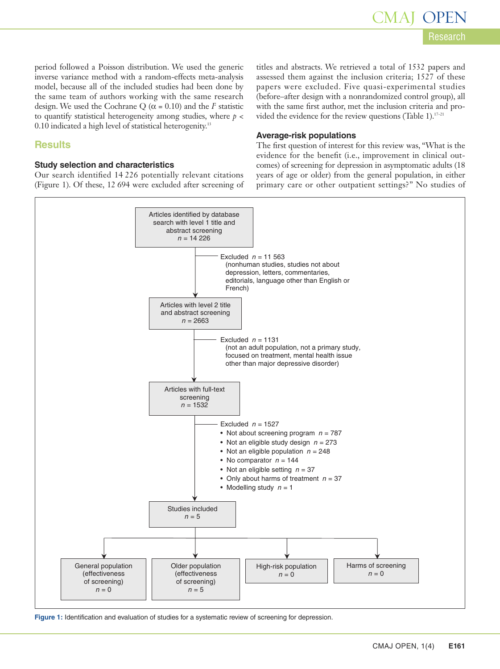period followed a Poisson distribution. We used the generic inverse variance method with a random-effects meta-analysis model, because all of the included studies had been done by the same team of authors working with the same research design. We used the Cochrane Q ( $\alpha$  = 0.10) and the *I*<sup>2</sup> statistic to quantify statistical heterogeneity among studies, where *p* < 0.10 indicated a high level of statistical heterogenity. 13

### **Results**

### **Study selection and characteristics**

Our search identified 14 226 potentially relevant citations (Figure 1). Of these, 12 694 were excluded after screening of titles and abstracts. We retrieved a total of 1532 papers and assessed them against the inclusion criteria; 1527 of these papers were excluded. Five quasi-experimental studies (before–after design with a nonrandomized control group), all with the same first author, met the inclusion criteria and provided the evidence for the review questions (Table 1).<sup>17-21</sup>

### **Average-risk populations**

The first question of interest for this review was, "What is the evidence for the benefit (i.e., improvement in clinical outcomes) of screening for depression in asymptomatic adults (18 years of age or older) from the general population, in either primary care or other outpatient settings?" No studies of



**Figure 1:** Identification and evaluation of studies for a systematic review of screening for depression.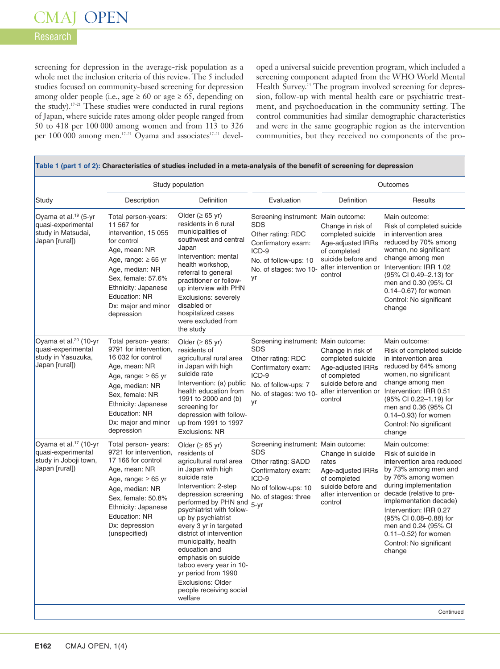### Research

screening for depression in the average-risk population as a whole met the inclusion criteria of this review. The 5 included studies focused on community-based screening for depression among older people (i.e., age  $\geq 60$  or age  $\geq 65$ , depending on the study). 17–21 These studies were conducted in rural regions of Japan, where suicide rates among older people ranged from 50 to 418 per 100 000 among women and from 113 to 326 per 100 000 among men.<sup>17-21</sup> Oyama and associates<sup>17-21</sup> developed a universal suicide prevention program, which included a screening component adapted from the WHO World Mental Health Survey. <sup>24</sup> The program involved screening for depression, follow-up with mental health care or psychiatric treatment, and psychoeducation in the community setting. The control communities had similar demographic characteristics and were in the same geographic region as the intervention communities, but they received no components of the pro-

|                                                                                                    |                                                                                                                                                                                                                                             | Study population                                                                                                                                                                                                                                                                                                                                                                                                                                                     |                                                                                                                                                                    | Outcomes                                                                                                                              |                                                                                                                                                                                                                                                                                                                                             |  |
|----------------------------------------------------------------------------------------------------|---------------------------------------------------------------------------------------------------------------------------------------------------------------------------------------------------------------------------------------------|----------------------------------------------------------------------------------------------------------------------------------------------------------------------------------------------------------------------------------------------------------------------------------------------------------------------------------------------------------------------------------------------------------------------------------------------------------------------|--------------------------------------------------------------------------------------------------------------------------------------------------------------------|---------------------------------------------------------------------------------------------------------------------------------------|---------------------------------------------------------------------------------------------------------------------------------------------------------------------------------------------------------------------------------------------------------------------------------------------------------------------------------------------|--|
| Study                                                                                              | Description                                                                                                                                                                                                                                 | Definition                                                                                                                                                                                                                                                                                                                                                                                                                                                           | Evaluation                                                                                                                                                         | Definition                                                                                                                            | Results                                                                                                                                                                                                                                                                                                                                     |  |
| Oyama et al. <sup>19</sup> (5-yr<br>quasi-experimental<br>study in Matsudai,<br>Japan [rural])     | Total person-years:<br>11 567 for<br>intervention, 15 055<br>for control<br>Age, mean: NR<br>Age, range: $\geq 65$ yr<br>Age, median: NR<br>Sex, female: 57.6%<br>Ethnicity: Japanese<br>Education: NR<br>Dx: major and minor<br>depression | Older ( $\geq 65$ yr)<br>residents in 6 rural<br>municipalities of<br>southwest and central<br>Japan<br>Intervention: mental<br>health workshop,<br>referral to general<br>practitioner or follow-<br>up interview with PHN<br>Exclusions: severely<br>disabled or<br>hospitalized cases<br>were excluded from<br>the study                                                                                                                                          | Screening instrument: Main outcome:<br><b>SDS</b><br>Other rating: RDC<br>Confirmatory exam:<br>ICD-9<br>No. of follow-ups: 10<br>No. of stages: two 10-<br>yr     | Change in risk of<br>completed suicide<br>Age-adjusted IRRs<br>of completed<br>suicide before and<br>after intervention or<br>control | Main outcome:<br>Risk of completed suicide<br>in intervention area<br>reduced by 70% among<br>women, no significant<br>change among men<br>Intervention: IRR 1.02<br>(95% CI 0.49–2.13) for<br>men and 0.30 (95% CI<br>$0.14 - 0.67$ ) for women<br>Control: No significant<br>change                                                       |  |
| Oyama et al. <sup>20</sup> (10-yr<br>quasi-experimental<br>study in Yasuzuka,<br>Japan [rural])    | Total person-years:<br>9791 for intervention,<br>16 032 for control<br>Age, mean: NR<br>Age, range: $\geq 65$ yr<br>Age, median: NR<br>Sex, female: NR<br>Ethnicity: Japanese<br>Education: NR<br>Dx: major and minor<br>depression         | Older ( $\geq 65$ yr)<br>residents of<br>agricultural rural area<br>in Japan with high<br>suicide rate<br>Intervention: (a) public<br>health education from<br>1991 to 2000 and (b)<br>screening for<br>depression with follow-<br>up from 1991 to 1997<br><b>Exclusions: NR</b>                                                                                                                                                                                     | Screening instrument: Main outcome:<br><b>SDS</b><br>Other rating: RDC<br>Confirmatory exam:<br>ICD-9<br>No. of follow-ups: 7<br>No. of stages: two 10-<br>yr      | Change in risk of<br>completed suicide<br>Age-adjusted IRRs<br>of completed<br>suicide before and<br>after intervention or<br>control | Main outcome:<br>Risk of completed suicide<br>in intervention area<br>reduced by 64% among<br>women, no significant<br>change among men<br>Intervention: IRR 0.51<br>(95% CI 0.22-1.19) for<br>men and 0.36 (95% CI<br>$0.14 - 0.93$ for women<br>Control: No significant<br>change                                                         |  |
| Oyama et al. <sup>17</sup> (10-yr<br>quasi-experimental<br>study in Joboji town,<br>Japan [rural]) | Total person- years:<br>9721 for intervention,<br>17 166 for control<br>Age, mean: NR<br>Age, range: $\geq 65$ yr<br>Age, median: NR<br>Sex, female: 50.8%<br>Ethnicity: Japanese<br>Education: NR<br>Dx: depression<br>(unspecified)       | Older ( $\geq 65$ yr)<br>residents of<br>agricultural rural area<br>in Japan with high<br>suicide rate<br>Intervention: 2-step<br>depression screening<br>performed by PHN and<br>psychiatrist with follow-<br>up by psychiatrist<br>every 3 yr in targeted<br>district of intervention<br>municipality, health<br>education and<br>emphasis on suicide<br>taboo every year in 10-<br>yr period from 1990<br>Exclusions: Older<br>people receiving social<br>welfare | Screening instrument: Main outcome:<br><b>SDS</b><br>Other rating: SADD<br>Confirmatory exam:<br>ICD-9<br>No of follow-ups: 10<br>No. of stages: three<br>$5 - yr$ | Change in suicide<br>rates<br>Age-adjusted IRRs<br>of completed<br>suicide before and<br>after intervention or<br>control             | Main outcome:<br>Risk of suicide in<br>intervention area reduced<br>by 73% among men and<br>by 76% among women<br>during implementation<br>decade (relative to pre-<br>implementation decade)<br>Intervention: IRR 0.27<br>(95% CI 0.08-0.88) for<br>men and 0.24 (95% CI<br>$0.11 - 0.52$ ) for women<br>Control: No significant<br>change |  |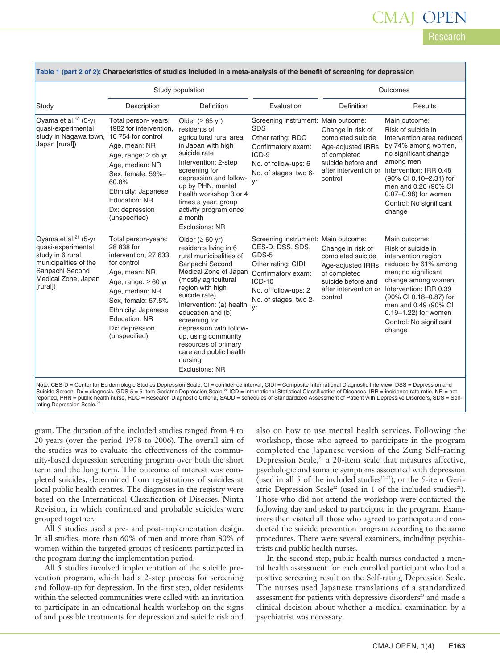# CMAJ

| Research |  |  |  |  |
|----------|--|--|--|--|
|          |  |  |  |  |

|                                                                                                                                                           |                                                                                                                                                                                                                                                                                                                                                                                                                                                                                                                                               | Study population                                                                                                                                                                                                                                                                                                                                                                             |                                                                                                                                                                                 | Outcomes                                                                                                                              |                                                                                                                                                                                                                                                                          |  |
|-----------------------------------------------------------------------------------------------------------------------------------------------------------|-----------------------------------------------------------------------------------------------------------------------------------------------------------------------------------------------------------------------------------------------------------------------------------------------------------------------------------------------------------------------------------------------------------------------------------------------------------------------------------------------------------------------------------------------|----------------------------------------------------------------------------------------------------------------------------------------------------------------------------------------------------------------------------------------------------------------------------------------------------------------------------------------------------------------------------------------------|---------------------------------------------------------------------------------------------------------------------------------------------------------------------------------|---------------------------------------------------------------------------------------------------------------------------------------|--------------------------------------------------------------------------------------------------------------------------------------------------------------------------------------------------------------------------------------------------------------------------|--|
| Study                                                                                                                                                     | Description                                                                                                                                                                                                                                                                                                                                                                                                                                                                                                                                   | <b>Definition</b>                                                                                                                                                                                                                                                                                                                                                                            | Evaluation                                                                                                                                                                      | Definition                                                                                                                            | Results                                                                                                                                                                                                                                                                  |  |
| Oyama et al. <sup>18</sup> (5-yr<br>quasi-experimental<br>study in Nagawa town, 16 754 for control<br>Japan [rural])                                      | Total person-years:<br>Older ( $\geq 65$ yr)<br>1982 for intervention.<br>residents of<br>agricultural rural area<br>in Japan with high<br>Age, mean: NR<br>suicide rate<br>Age, range: $\geq 65$ yr<br>Intervention: 2-step<br>Age, median: NR<br>screening for<br>Sex, female: 59%-<br>depression and follow-<br>60.8%<br>up by PHN, mental<br>Ethnicity: Japanese<br>health workshop 3 or 4<br><b>Education: NR</b><br>times a year, group<br>Dx: depression<br>activity program once<br>(unspecified)<br>a month<br><b>Exclusions: NR</b> |                                                                                                                                                                                                                                                                                                                                                                                              | Screening instrument: Main outcome:<br><b>SDS</b><br>Other rating: RDC<br>Confirmatory exam:<br>$ICD-9$<br>No. of follow-ups: 6<br>No. of stages: two 6-<br>vr                  | Change in risk of<br>completed suicide<br>Age-adjusted IRRs<br>of completed<br>suicide before and<br>after intervention or<br>control | Main outcome:<br>Risk of suicide in<br>intervention area reduced<br>by 74% among women,<br>no significant change<br>among men<br>Intervention: IRR 0.48<br>(90% CI 0.10-2.31) for<br>men and 0.26 (90% CI<br>0.07-0.98) for women<br>Control: No significant<br>change   |  |
| Oyama et al. <sup>21</sup> (5-yr<br>quasi-experimental<br>study in 6 rural<br>municipalities of the<br>Sanpachi Second<br>Medical Zone, Japan<br>[rural]) | Total person-years:<br>28 838 for<br>intervention, 27 633<br>for control<br>Age, mean: NR<br>Age, range: $\geq 60$ yr<br>Age, median: NR<br>Sex, female: 57.5%<br>Ethnicity: Japanese<br>Education: NR<br>Dx: depression<br>(unspecified)                                                                                                                                                                                                                                                                                                     | Older ( $\geq 60$ yr)<br>residents living in 6<br>rural municipalities of<br>Sanpachi Second<br>Medical Zone of Japan<br>(mostly agricultural<br>region with high<br>suicide rate)<br>Intervention: (a) health<br>education and (b)<br>screening for<br>depression with follow-<br>up, using community<br>resources of primary<br>care and public health<br>nursing<br><b>Exclusions: NR</b> | Screening instrument: Main outcome:<br>CES-D, DSS, SDS,<br>GDS-5<br>Other rating: CIDI<br>Confirmatory exam:<br>$ICD-10$<br>No. of follow-ups: 2<br>No. of stages: two 2-<br>vr | Change in risk of<br>completed suicide<br>Age-adjusted IRRs<br>of completed<br>suicide before and<br>after intervention or<br>control | Main outcome:<br>Risk of suicide in<br>intervention region<br>reduced by 61% among<br>men; no significant<br>change among women<br>Intervention: IRR 0.39<br>(90% CI 0.18-0.87) for<br>men and 0.49 (90% CI<br>0.19-1.22) for women<br>Control: No significant<br>change |  |

|  |  | Table 1 (part 2 of 2): Characteristics of studies included in a meta-analysis of the benefit of screening for depression |  |
|--|--|--------------------------------------------------------------------------------------------------------------------------|--|
|--|--|--------------------------------------------------------------------------------------------------------------------------|--|

Note: CES-D = Center for Epidemiologic Studies Depression Scale, CI = confidence interval, CIDI = Composite International Diagnostic Interview, DSS = Depression and<br>Suicide Screen, Dx = diagnosis, GDS-5 = 5-item Geriatric reported, PHN = public health nurse, RDC = Research Diagnostic Criteria, SADD = schedules of Standardized Assessment of Patient with Depressive Disorders**,** SDS = Selfrating Depression Scale.<sup>23</sup>

gram. The duration of the included studies ranged from 4 to 20 years (over the period 1978 to 2006). The overall aim of the studies was to evaluate the effectiveness of the community-based depression screening program over both the short term and the long term. The outcome of interest was completed suicides, determined from registrations of suicides at local public health centres. The diagnoses in the registry were based on the International Classification of Diseases, Ninth Revision, in which confirmed and probable suicides were grouped together.

All 5 studies used a pre- and post-implementation design. In all studies, more than 60% of men and more than 80% of women within the targeted groups of residents participated in the program during the implementation period.

All 5 studies involved implementation of the suicide prevention program, which had a 2-step process for screening and follow-up for depression. In the first step, older residents within the selected communities were called with an invitation to participate in an educational health workshop on the signs of and possible treatments for depression and suicide risk and

also on how to use mental health services. Following the workshop, those who agreed to participate in the program completed the Japanese version of the Zung Self-rating Depression Scale,<sup>23</sup> a 20-item scale that measures affective, psychologic and somatic symptoms associated with depression (used in all 5 of the included studies $17-21$ ), or the 5-item Geriatric Depression Scale<sup>22</sup> (used in 1 of the included studies<sup>21</sup>). Those who did not attend the workshop were contacted the following day and asked to participate in the program. Examiners then visited all those who agreed to participate and conducted the suicide prevention program according to the same procedures. There were several examiners, including psychiatrists and public health nurses.

In the second step, public health nurses conducted a mental health assessment for each enrolled participant who had a positive screening result on the Self-rating Depression Scale. The nurses used Japanese translations of a standardized assessment for patients with depressive disorders <sup>25</sup> and made a clinical decision about whether a medical examination by a psychiatrist was necessary.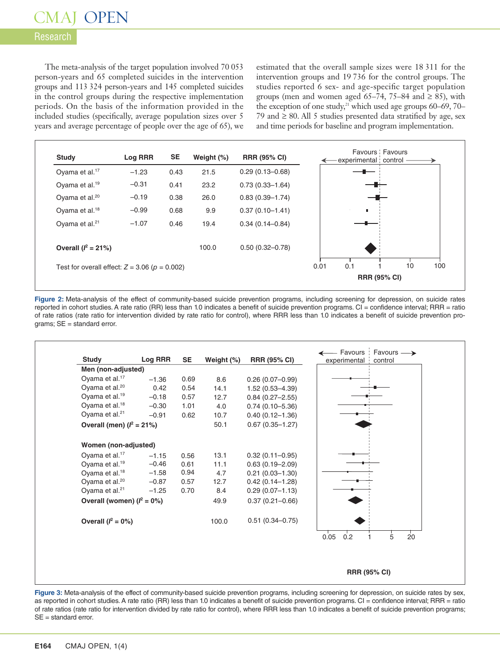### Research

The meta-analysis of the target population involved 70 053 person-years and 65 completed suicides in the intervention groups and 113 324 person-years and 145 completed suicides in the control groups during the respective implementation periods. On the basis of the information provided in the included studies (specifically, average population sizes over 5 years and average percentage of people over the age of 65), we estimated that the overall sample sizes were 18 311 for the intervention groups and 19 736 for the control groups. The studies reported 6 sex- and age-specific target population groups (men and women aged 65–74, 75–84 and  $\geq$  85), with the exception of one study, <sup>21</sup> which used age groups 60–69, 70– 79 and  $\geq$  80. All 5 studies presented data stratified by age, sex and time periods for baseline and program implementation.



**Figure 2:** Meta-analysis of the effect of community-based suicide prevention programs, including screening for depression, on suicide rates reported in cohort studies.A rate ratio (RR) less than 1.0 indicates a benefit of suicide prevention programs. CI = confidence interval; RRR = ratio of rate ratios (rate ratio for intervention divided by rate ratio for control), where RRR less than 1.0 indicates a benefit of suicide prevention programs; SE = standard error.



**Figure 3:** Meta-analysis of the effect of community-based suicide prevention programs, including screening for depression, on suicide rates by sex, as reported in cohort studies.A rate ratio (RR) less than 1.0 indicates a benefit of suicide prevention programs. CI = confidence interval; RRR = ratio of rate ratios (rate ratio for intervention divided by rate ratio for control), where RRR less than 1.0 indicates a benefit of suicide prevention programs; SE = standard error.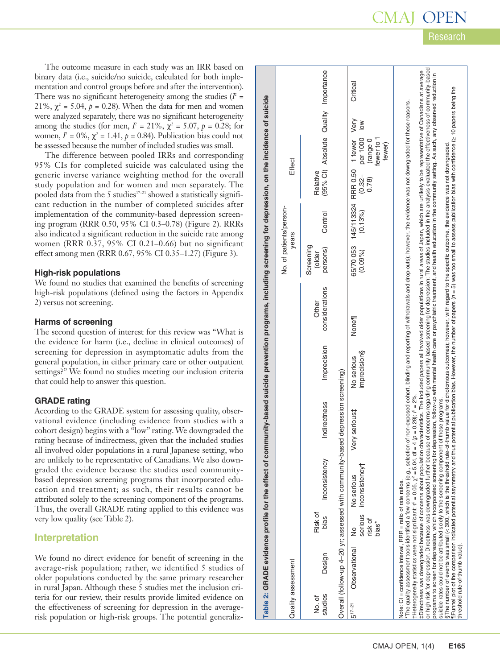p

Research

The outcome measure in each study was an IRR based on binary data (i.e., suicide/no suicide, calculated for both implementation and control groups before and after the intervention). There was no significant heterogeneity among the studies  $(I^2 =$ 21%,  $\chi^2$  = 5.04,  $p = 0.28$ ). When the data for men and women were analyzed separately, there was no significant heterogeneity among the studies (for men,  $I = 21\%, \tilde{\chi}^2 = 5.07, p = 0.28$ ; for women,  $I^2 = 0\%$ ,  $\chi^2 = 1.41$ ,  $p = 0.84$ ). Publication bias could not be assessed because the number of included studies was small.

The difference between pooled IRRs and corresponding 95% CIs for completed suicide was calculated using the generic inverse variance weighting method for the overall study population and for women and men separately. The pooled data from the 5 studies 17–21 showed a statistically significant reduction in the number of completed suicides after implementation of the community-based depression screening program (RRR 0.50, 95% CI 0.3–0.78) (Figure 2). RRRs also indicated a significant reduction in the suicide rate among women (RRR 0.37, 95% CI 0.21–0.66) but no significant effect among men (RRR 0.67, 95% CI 0.35–1.27) (Figure 3).

### **High-risk populations**

We found no studies that examined the benefits of screening high-risk populations (defined using the factors in Appendix 2) versus not screening.

### **Harms of screening**

The second question of interest for this review was "What is the evidence for harm (i.e., decline in clinical outcomes) of screening for depression in asymptomatic adults from the general population, in either primary care or other outpatient settings?" We found no studies meeting our inclusion criteria that could help to answer this question.

### **GRADE rating**

According to the GRADE system for assessing quality, observational evidence (including evidence from studies with a cohort design) begins with a "low" rating.We downgraded the rating because of indirectness, given that the included studies all involved older populations in a rural Japanese setting, who are unlikely to be representative of Canadians. We also downgraded the evidence because the studies used communitybased depression screening programs that incorporated education and treatment; as such, their results cannot be attributed solely to the screening component of the programs. Thus, the overall GRADE rating applied to this evidence was very low quality (see Table 2).

### **Interpretation**

We found no direct evidence for benefit of screening in the average-risk population; rather, we identified 5 studies of older populations conducted by the same primary researcher in rural Japan. Although these 5 studies met the inclusion criteria for our review, their results provide limited evidence on the effectiveness of screening for depression in the average-In rural Japan. Although these 5 studies met the inclusion criteria for our review, their results provide limited evidence on<br>the effectiveness of screening for depression in the average-<br>risk population or high-risk group

| Table 2: GRADE evidence profile for the effect of community-based suicide prevention programs, including screening for depression, on the incidence of suicide | Effect<br>No. of patients/person-<br>years | (95% CI) Absolute Quality Importance<br>Relative<br>Control<br>Screening<br>persons)<br>(older<br>considerations<br>Other<br>Imprecision<br>Indirectness<br>Inconsistency<br>Risk of<br>bias<br>Design | Overall (follow-up 4-20 yr; assessed with community-based depression screening) | Critical<br>RRR 0.50 1 fewer Very<br>per 1000 low<br>fewer to 1<br>(range 0<br>fewer)<br>$(0.32 -$<br>0.78<br>145/113324<br>(0.13%<br>65/70053<br>(0.09%)<br>None <sub>1</sub><br>imprecision§<br>No serious<br>Very serious‡<br>serious inconsistency <sup>+</sup><br>No serious<br>risk of<br>bias <sup>*</sup><br>ž | or high risk for depression. Directness was downgraded further because of concerns regarding community-based screening for depression: The studies included in the analysis evaluated the effectiveness of community-based<br>‡Directness was downgraded because of concerns about population characteristics. The included papers all involved older populations in rural areas of Japan, which are unlikely to be representative of Canadians at average<br>programs to screen for depression, which incorporated screening for depression, follow-up with mental health care or psychiatric treatment, and health education in the community setting. As such, any observed reduction in<br>¶Funnel plot of the comparison indicated potential asymmetry and thus potential publication bias. However, the number of papers (n = 5) was too small to assess publication bias with confidence (≥ 10 papers being the<br>The quality assessment tools identified a few concerns (e.g., selection of non-exposed cohort, binding and reporting of withdrawals and drop-outs); however, the evidence was not downgraded for these reasons.<br>$\S$ The number of events was small (< 300, which is the threshold rule-of-thumb value for dichotomous outcomes); however, with regard to the specific outcome, the evidence was not downgraded<br>t Heterogeneity statistics were not significant: $t^2 = 0.05$ , $\chi^2 = 5.04$ , df = 4 (p = 0.28); $l^2 = 2\%$ .<br>suicide rates could not be attributed solely to the screening component of these programs.<br>Note: CI = confidence interval, RRR = ratio of rate ratios. |
|----------------------------------------------------------------------------------------------------------------------------------------------------------------|--------------------------------------------|--------------------------------------------------------------------------------------------------------------------------------------------------------------------------------------------------------|---------------------------------------------------------------------------------|------------------------------------------------------------------------------------------------------------------------------------------------------------------------------------------------------------------------------------------------------------------------------------------------------------------------|---------------------------------------------------------------------------------------------------------------------------------------------------------------------------------------------------------------------------------------------------------------------------------------------------------------------------------------------------------------------------------------------------------------------------------------------------------------------------------------------------------------------------------------------------------------------------------------------------------------------------------------------------------------------------------------------------------------------------------------------------------------------------------------------------------------------------------------------------------------------------------------------------------------------------------------------------------------------------------------------------------------------------------------------------------------------------------------------------------------------------------------------------------------------------------------------------------------------------------------------------------------------------------------------------------------------------------------------------------------------------------------------------------------------------------------------------------------------------------------------------------------------------------------------------------------------------------------------------------------------------------|
|                                                                                                                                                                | Quality assessment                         | studies<br>No. of                                                                                                                                                                                      |                                                                                 | Observational<br>$5^{17-21}$                                                                                                                                                                                                                                                                                           | threshold rule-of-thumb value).                                                                                                                                                                                                                                                                                                                                                                                                                                                                                                                                                                                                                                                                                                                                                                                                                                                                                                                                                                                                                                                                                                                                                                                                                                                                                                                                                                                                                                                                                                                                                                                                 |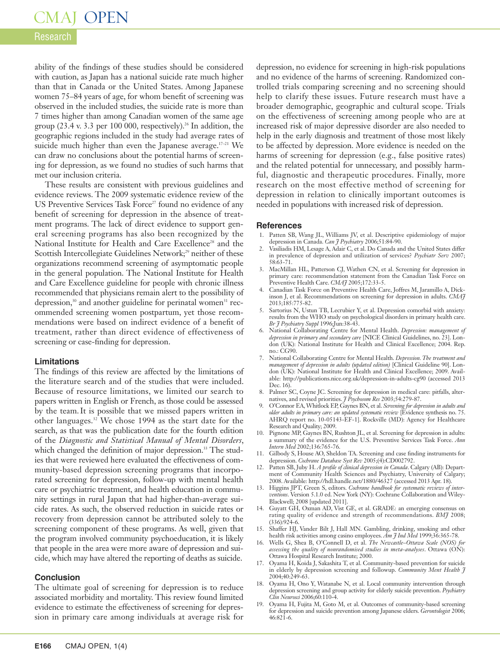### Research

ability of the findings of these studies should be considered with caution, as Japan has a national suicide rate much higher than that in Canada or the United States. Among Japanese women 75–84 years of age, for whom benefit of screening was observed in the included studies, the suicide rate is more than 7 times higher than among Canadian women of the same age group (23.4 v. 3.3 per 100 000, respectively). <sup>26</sup> In addition, the geographic regions included in the study had average rates of suicide much higher than even the Japanese average.<sup>17-21</sup> We can draw no conclusions about the potential harms of screening for depression, as we found no studies of such harms that met our inclusion criteria.

These results are consistent with previous guidelines and evidence reviews. The 2009 systematic evidence review of the US Preventive Services Task Force<sup>27</sup> found no evidence of any benefit of screening for depression in the absence of treatment programs. The lack of direct evidence to support general screening programs has also been recognized by the National Institute for Health and Care Excellence<sup>28</sup> and the Scottish Intercollegiate Guidelines Network; <sup>29</sup> neither of these organizations recommend screening of asymptomatic people in the general population. The National Institute for Health and Care Excellence guideline for people with chronic illness recommended that physicians remain alert to the possibility of depression,<sup>30</sup> and another guideline for perinatal women<sup>31</sup> recommended screening women postpartum, yet those recommendations were based on indirect evidence of a benefit of treatment, rather than direct evidence of effectiveness of screening or case-finding for depression.

### **Limitations**

The findings of this review are affected by the limitations of the literature search and of the studies that were included. Because of resource limitations, we limited our search to papers written in English or French, as those could be assessed by the team.It is possible that we missed papers written in other languages. <sup>32</sup> We chose 1994 as the start date for the search, as that was the publication date for the fourth edition of the *Diagnostic and Statistical Manual of Mental Disorders*, which changed the definition of major depression. <sup>33</sup> The studies that were reviewed here evaluated the effectiveness of community-based depression screening programs that incorporated screening for depression, follow-up with mental health care or psychiatric treatment, and health education in community settings in rural Japan that had higher-than-average suicide rates. As such, the observed reduction in suicide rates or recovery from depression cannot be attributed solely to the screening component of these programs. As well, given that the program involved community psychoeducation, it is likely that people in the area were more aware of depression and suicide, which may have altered the reporting of deaths as suicide.

### **Conclusion**

The ultimate goal of screening for depression is to reduce associated morbidity and mortality. This review found limited evidence to estimate the effectiveness of screening for depression in primary care among individuals at average risk for

depression, no evidence for screening in high-risk populations and no evidence of the harms of screening. Randomized controlled trials comparing screening and no screening should help to clarify these issues. Future research must have a broader demographic, geographic and cultural scope. Trials on the effectiveness of screening among people who are at increased risk of major depressive disorder are also needed to help in the early diagnosis and treatment of those most likely to be affected by depression. More evidence is needed on the harms of screening for depression (e.g., false positive rates) and the related potential for unnecessary, and possibly harmful, diagnostic and therapeutic procedures. Finally, more research on the most effective method of screening for depression in relation to clinically important outcomes is needed in populations with increased risk of depression.

#### **References**

- 1. Patten SB, Wang JL, Williams JV, et al. Descriptive epidemiology of major
- depression in Canada. *Can J Psychiatry* 2006;51:84-90. 2. Vasiliadis HM, Lesage A, Adair C, et al. Do Canada and the United States differ in prevalence of depression and utilization of services? *Psychiatr Serv* 2007; 58:63-71.
- 3. MacMillan HL, Patterson CJ, Wathen CN, et al. Screening for depression in primary care: recommendation statement from the Canadian Task Force on Preventive Health Care. *CMAJ* 2005;172:33-5.
- 4. Canadian Task Force on Preventive Health Care, Joffres M, Jaramillo A, Dickinson J, et al. Recommendations on screening for depression in adults. *CMAJ* 2013;185:775-82.
- 5. Sartorius N, Ustun TB, Lecrubier Y, et al. Depression comorbid with anxiety: results from the WHO study on psychological disorders in primary health care. *Br J Psychiatry Suppl* 1996;Jun:38-43.
- 6. National Collaborating Centre for Mental Health. *Depression: management of depression in primary and secondary care* [NICE Clinical Guidelines, no. 23]. London (UK): National Institute for Health and Clinical Excellence; 2004. Rep.  $no \cdot C$ G90.
- 7. National Collaborating Centre for Mental Health. *Depression.The treatment and management of depression in adults (updated edition)* [Clinical Guideline 90]. London (UK): National Institute for Health and Clinical Excellence; 2009. Available: http://publications.nice.org.uk/depression-in-adults-cg90 (accessed 2013 Dec. 16).
- 8. Palmer SC, Coyne JC. Screening for depression in medical care: pitfalls, alternatives, and revised priorities. *J Psychosom Res* 2003;54:279-87.
- 9. O'Connor EA,Whitlock EP, Gaynes BN, et al. *Screening for depression in adults and older adults in primary care: an updated systematic review* [Evidence synthesis no. 75. AHRQ report no. 10-05143-EF-1]. Rockville (MD): Agency for Healthcare Research and Quality; 2009.
- 10. Pignone MP, Gaynes BN, Rushton JL, et al. Screening for depression in adults: a summary of the evidence for the U.S. Preventive Services Task Force. *Ann Intern Med* 2002;136:765-76.
- 11. Gilbody S, House AO, Sheldon TA. Screening and case finding instruments for depression. *Cochrane Database Syst Rev* 2005;(4):CD002792.
- 12. Patten SB, Juby H. *A profile of clinical depression in Canada*. Calgary (AB): Department of Community Health Sciences and Psychiatry, University of Calgary; 2008.Available: http://hdl.handle.net/1880/46327 (accessed 2013 Apr. 18).
- 13. Higgins JPT, Green S, editors. *Cochrane handbook for systematic reviews of interventions*. Version 5.1.0 ed. New York (NY): Cochrane Collaboration and Wiley-Blackwell; 2008 [updated 2011].
- 14. Guyatt GH, Oxman AD, Vist GE, et al. GRADE: an emerging consensus on rating quality of evidence and strength of recommendations. *BMJ* 2008; (336):924-6.
- 15. Shaffer HJ, Vander Bilt J, Hall MN. Gambling, drinking, smoking and other health risk activities among casino employees. *Am J Ind Med* 1999;36:365-78.
- 16. Wells G, Shea B, O'Connell D, et al. *The Newcastle–Ottawa Scale (NOS) for assessing the quality of nonrandomised studies in meta-analyses*. Ottawa (ON): Ottawa Hospital Research Institute; 2000.
- 17. Oyama H, Koida J, Sakashita T, et al. Community-based prevention for suicide in elderly by depression screening and followup. *Community Ment Health J* 2004;40:249-63.
- 18. Oyama H, Ono Y, Watanabe N, et al. Local community intervention through depression screening and group activity for elderly suicide prevention. *Psychiatry Clin Neurosci* 2006;60:110-4.
- 19. Oyama H, Fujita M, Goto M, et al. Outcomes of community-based screening for depression and suicide prevention among Japanese elders. *Gerontologist* 2006; 46:821-6.